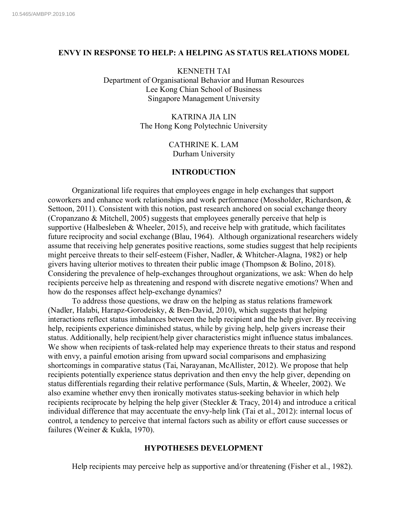### **ENVY IN RESPONSE TO HELP: A HELPING AS STATUS RELATIONS MODEL**

KENNETH TAI Department of Organisational Behavior and Human Resources Lee Kong Chian School of Business Singapore Management University

> KATRINA JIA LIN The Hong Kong Polytechnic University

> > CATHRINE K. LAM Durham University

# **INTRODUCTION**

Organizational life requires that employees engage in help exchanges that support coworkers and enhance work relationships and work performance (Mossholder, Richardson, & Settoon, 2011). Consistent with this notion, past research anchored on social exchange theory (Cropanzano & Mitchell, 2005) suggests that employees generally perceive that help is supportive (Halbesleben & Wheeler, 2015), and receive help with gratitude, which facilitates future reciprocity and social exchange (Blau, 1964). Although organizational researchers widely assume that receiving help generates positive reactions, some studies suggest that help recipients might perceive threats to their self-esteem (Fisher, Nadler, & Whitcher-Alagna, 1982) or help givers having ulterior motives to threaten their public image (Thompson & Bolino, 2018). Considering the prevalence of help-exchanges throughout organizations, we ask: When do help recipients perceive help as threatening and respond with discrete negative emotions? When and how do the responses affect help-exchange dynamics?

To address those questions, we draw on the helping as status relations framework (Nadler, Halabi, Harapz-Gorodeisky, & Ben-David, 2010), which suggests that helping interactions reflect status imbalances between the help recipient and the help giver. By receiving help, recipients experience diminished status, while by giving help, help givers increase their status. Additionally, help recipient/help giver characteristics might influence status imbalances. We show when recipients of task-related help may experience threats to their status and respond with envy, a painful emotion arising from upward social comparisons and emphasizing shortcomings in comparative status (Tai, Narayanan, McAllister, 2012). We propose that help recipients potentially experience status deprivation and then envy the help giver, depending on status differentials regarding their relative performance (Suls, Martin, & Wheeler, 2002). We also examine whether envy then ironically motivates status-seeking behavior in which help recipients reciprocate by helping the help giver (Steckler & Tracy, 2014) and introduce a critical individual difference that may accentuate the envy-help link (Tai et al., 2012): internal locus of control, a tendency to perceive that internal factors such as ability or effort cause successes or failures (Weiner & Kukla, 1970).

# **HYPOTHESES DEVELOPMENT**

Help recipients may perceive help as supportive and/or threatening (Fisher et al., 1982).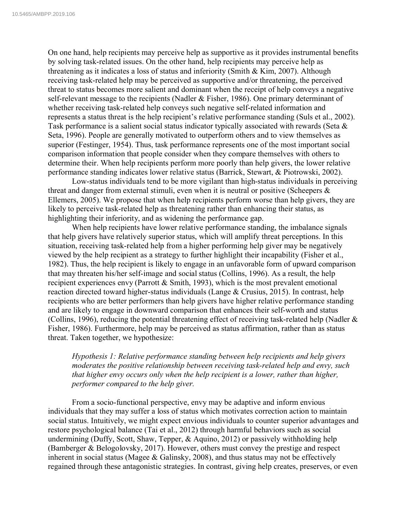On one hand, help recipients may perceive help as supportive as it provides instrumental benefits by solving task-related issues. On the other hand, help recipients may perceive help as threatening as it indicates a loss of status and inferiority (Smith & Kim, 2007). Although receiving task-related help may be perceived as supportive and/or threatening, the perceived threat to status becomes more salient and dominant when the receipt of help conveys a negative self-relevant message to the recipients (Nadler & Fisher, 1986). One primary determinant of whether receiving task-related help conveys such negative self-related information and represents a status threat is the help recipient's relative performance standing (Suls et al., 2002). Task performance is a salient social status indicator typically associated with rewards (Seta & Seta, 1996). People are generally motivated to outperform others and to view themselves as superior (Festinger, 1954). Thus, task performance represents one of the most important social comparison information that people consider when they compare themselves with others to determine their. When help recipients perform more poorly than help givers, the lower relative performance standing indicates lower relative status (Barrick, Stewart, & Piotrowski, 2002).

Low-status individuals tend to be more vigilant than high-status individuals in perceiving threat and danger from external stimuli, even when it is neutral or positive (Scheepers  $\&$ Ellemers, 2005). We propose that when help recipients perform worse than help givers, they are likely to perceive task-related help as threatening rather than enhancing their status, as highlighting their inferiority, and as widening the performance gap.

When help recipients have lower relative performance standing, the imbalance signals that help givers have relatively superior status, which will amplify threat perceptions. In this situation, receiving task-related help from a higher performing help giver may be negatively viewed by the help recipient as a strategy to further highlight their incapability (Fisher et al., 1982). Thus, the help recipient is likely to engage in an unfavorable form of upward comparison that may threaten his/her self-image and social status (Collins, 1996). As a result, the help recipient experiences envy (Parrott & Smith, 1993), which is the most prevalent emotional reaction directed toward higher-status individuals (Lange & Crusius, 2015). In contrast, help recipients who are better performers than help givers have higher relative performance standing and are likely to engage in downward comparison that enhances their self-worth and status (Collins, 1996), reducing the potential threatening effect of receiving task-related help (Nadler & Fisher, 1986). Furthermore, help may be perceived as status affirmation, rather than as status threat. Taken together, we hypothesize:

*Hypothesis 1: Relative performance standing between help recipients and help givers moderates the positive relationship between receiving task-related help and envy, such that higher envy occurs only when the help recipient is a lower, rather than higher, performer compared to the help giver.* 

From a socio-functional perspective, envy may be adaptive and inform envious individuals that they may suffer a loss of status which motivates correction action to maintain social status. Intuitively, we might expect envious individuals to counter superior advantages and restore psychological balance (Tai et al., 2012) through harmful behaviors such as social undermining (Duffy, Scott, Shaw, Tepper, & Aquino, 2012) or passively withholding help (Bamberger & Belogolovsky, 2017). However, others must convey the prestige and respect inherent in social status (Magee & Galinsky, 2008), and thus status may not be effectively regained through these antagonistic strategies. In contrast, giving help creates, preserves, or even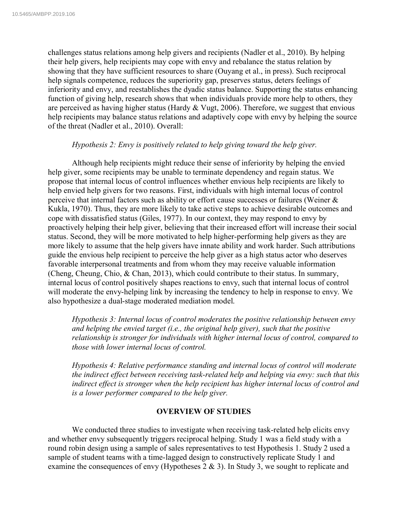challenges status relations among help givers and recipients (Nadler et al., 2010). By helping their help givers, help recipients may cope with envy and rebalance the status relation by showing that they have sufficient resources to share (Ouyang et al., in press). Such reciprocal help signals competence, reduces the superiority gap, preserves status, deters feelings of inferiority and envy, and reestablishes the dyadic status balance. Supporting the status enhancing function of giving help, research shows that when individuals provide more help to others, they are perceived as having higher status (Hardy & Vugt, 2006). Therefore, we suggest that envious help recipients may balance status relations and adaptively cope with envy by helping the source of the threat (Nadler et al., 2010). Overall:

# *Hypothesis 2: Envy is positively related to help giving toward the help giver.*

Although help recipients might reduce their sense of inferiority by helping the envied help giver, some recipients may be unable to terminate dependency and regain status. We propose that internal locus of control influences whether envious help recipients are likely to help envied help givers for two reasons. First, individuals with high internal locus of control perceive that internal factors such as ability or effort cause successes or failures (Weiner & Kukla, 1970). Thus, they are more likely to take active steps to achieve desirable outcomes and cope with dissatisfied status (Giles, 1977). In our context, they may respond to envy by proactively helping their help giver, believing that their increased effort will increase their social status. Second, they will be more motivated to help higher-performing help givers as they are more likely to assume that the help givers have innate ability and work harder. Such attributions guide the envious help recipient to perceive the help giver as a high status actor who deserves favorable interpersonal treatments and from whom they may receive valuable information (Cheng, Cheung, Chio, & Chan, 2013), which could contribute to their status. In summary, internal locus of control positively shapes reactions to envy, such that internal locus of control will moderate the envy-helping link by increasing the tendency to help in response to envy. We also hypothesize a dual-stage moderated mediation model.

*Hypothesis 3: Internal locus of control moderates the positive relationship between envy and helping the envied target (i.e., the original help giver), such that the positive relationship is stronger for individuals with higher internal locus of control, compared to those with lower internal locus of control.* 

*Hypothesis 4: Relative performance standing and internal locus of control will moderate the indirect effect between receiving task-related help and helping via envy: such that this indirect effect is stronger when the help recipient has higher internal locus of control and is a lower performer compared to the help giver.*

## **OVERVIEW OF STUDIES**

We conducted three studies to investigate when receiving task-related help elicits envy and whether envy subsequently triggers reciprocal helping. Study 1 was a field study with a round robin design using a sample of sales representatives to test Hypothesis 1. Study 2 used a sample of student teams with a time-lagged design to constructively replicate Study 1 and examine the consequences of envy (Hypotheses  $2 \& 3$ ). In Study 3, we sought to replicate and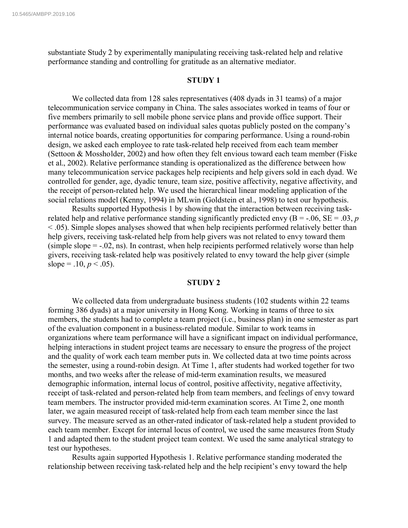substantiate Study 2 by experimentally manipulating receiving task-related help and relative performance standing and controlling for gratitude as an alternative mediator.

### **STUDY 1**

We collected data from 128 sales representatives (408 dyads in 31 teams) of a major telecommunication service company in China. The sales associates worked in teams of four or five members primarily to sell mobile phone service plans and provide office support. Their performance was evaluated based on individual sales quotas publicly posted on the company's internal notice boards, creating opportunities for comparing performance. Using a round-robin design, we asked each employee to rate task-related help received from each team member (Settoon & Mossholder, 2002) and how often they felt envious toward each team member (Fiske et al., 2002). Relative performance standing is operationalized as the difference between how many telecommunication service packages help recipients and help givers sold in each dyad. We controlled for gender, age, dyadic tenure, team size, positive affectivity, negative affectivity, and the receipt of person-related help. We used the hierarchical linear modeling application of the social relations model (Kenny, 1994) in MLwin (Goldstein et al., 1998) to test our hypothesis.

Results supported Hypothesis 1 by showing that the interaction between receiving taskrelated help and relative performance standing significantly predicted envy  $(B = -0.06, SE = 0.03, p$ < .05). Simple slopes analyses showed that when help recipients performed relatively better than help givers, receiving task-related help from help givers was not related to envy toward them (simple slope  $=$  -.02, ns). In contrast, when help recipients performed relatively worse than help givers, receiving task-related help was positively related to envy toward the help giver (simple slope =  $.10, p < .05$ ).

#### **STUDY 2**

We collected data from undergraduate business students (102 students within 22 teams forming 386 dyads) at a major university in Hong Kong. Working in teams of three to six members, the students had to complete a team project (i.e., business plan) in one semester as part of the evaluation component in a business-related module. Similar to work teams in organizations where team performance will have a significant impact on individual performance, helping interactions in student project teams are necessary to ensure the progress of the project and the quality of work each team member puts in. We collected data at two time points across the semester, using a round-robin design. At Time 1, after students had worked together for two months, and two weeks after the release of mid-term examination results, we measured demographic information, internal locus of control, positive affectivity, negative affectivity, receipt of task-related and person-related help from team members, and feelings of envy toward team members. The instructor provided mid-term examination scores. At Time 2, one month later, we again measured receipt of task-related help from each team member since the last survey. The measure served as an other-rated indicator of task-related help a student provided to each team member. Except for internal locus of control, we used the same measures from Study 1 and adapted them to the student project team context. We used the same analytical strategy to test our hypotheses.

Results again supported Hypothesis 1. Relative performance standing moderated the relationship between receiving task-related help and the help recipient's envy toward the help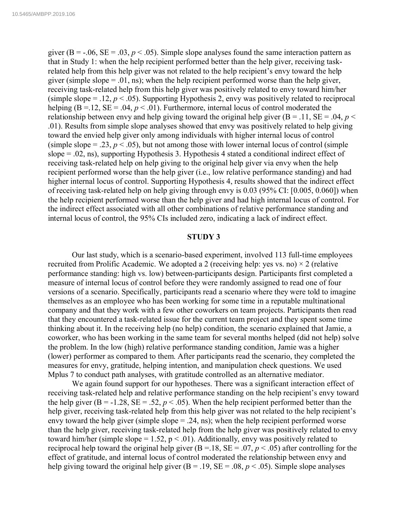giver (B =  $-0.06$ , SE =  $.03$ ,  $p < 0.05$ ). Simple slope analyses found the same interaction pattern as that in Study 1: when the help recipient performed better than the help giver, receiving taskrelated help from this help giver was not related to the help recipient's envy toward the help giver (simple slope  $= .01$ , ns); when the help recipient performed worse than the help giver, receiving task-related help from this help giver was positively related to envy toward him/her (simple slope  $=$  .12,  $p$  < .05). Supporting Hypothesis 2, envy was positively related to reciprocal helping ( $B = 0.12$ ,  $SE = 0.04$ ,  $p < 0.01$ ). Furthermore, internal locus of control moderated the relationship between envy and help giving toward the original help giver  $(B = .11, SE = .04, p <$ .01). Results from simple slope analyses showed that envy was positively related to help giving toward the envied help giver only among individuals with higher internal locus of control (simple slope  $= .23$ ,  $p < .05$ ), but not among those with lower internal locus of control (simple slope = .02, ns), supporting Hypothesis 3. Hypothesis 4 stated a conditional indirect effect of receiving task-related help on help giving to the original help giver via envy when the help recipient performed worse than the help giver (i.e., low relative performance standing) and had higher internal locus of control. Supporting Hypothesis 4, results showed that the indirect effect of receiving task-related help on help giving through envy is 0.03 (95% CI: [0.005, 0.060]) when the help recipient performed worse than the help giver and had high internal locus of control. For the indirect effect associated with all other combinations of relative performance standing and internal locus of control, the 95% CIs included zero, indicating a lack of indirect effect.

#### **STUDY 3**

Our last study, which is a scenario-based experiment, involved 113 full-time employees recruited from Prolific Academic. We adopted a 2 (receiving help: yes vs. no)  $\times$  2 (relative performance standing: high vs. low) between-participants design. Participants first completed a measure of internal locus of control before they were randomly assigned to read one of four versions of a scenario. Specifically, participants read a scenario where they were told to imagine themselves as an employee who has been working for some time in a reputable multinational company and that they work with a few other coworkers on team projects. Participants then read that they encountered a task-related issue for the current team project and they spent some time thinking about it. In the receiving help (no help) condition, the scenario explained that Jamie, a coworker, who has been working in the same team for several months helped (did not help) solve the problem. In the low (high) relative performance standing condition, Jamie was a higher (lower) performer as compared to them. After participants read the scenario, they completed the measures for envy, gratitude, helping intention, and manipulation check questions. We used Mplus 7 to conduct path analyses, with gratitude controlled as an alternative mediator.

We again found support for our hypotheses. There was a significant interaction effect of receiving task-related help and relative performance standing on the help recipient's envy toward the help giver  $(B = -1.28, SE = .52, p < .05)$ . When the help recipient performed better than the help giver, receiving task-related help from this help giver was not related to the help recipient's envy toward the help giver (simple slope  $= .24$ , ns); when the help recipient performed worse than the help giver, receiving task-related help from the help giver was positively related to envy toward him/her (simple slope = 1.52,  $p < .01$ ). Additionally, envy was positively related to reciprocal help toward the original help giver  $(B = 18, SE = .07, p < .05)$  after controlling for the effect of gratitude, and internal locus of control moderated the relationship between envy and help giving toward the original help giver  $(B = .19, SE = .08, p < .05)$ . Simple slope analyses